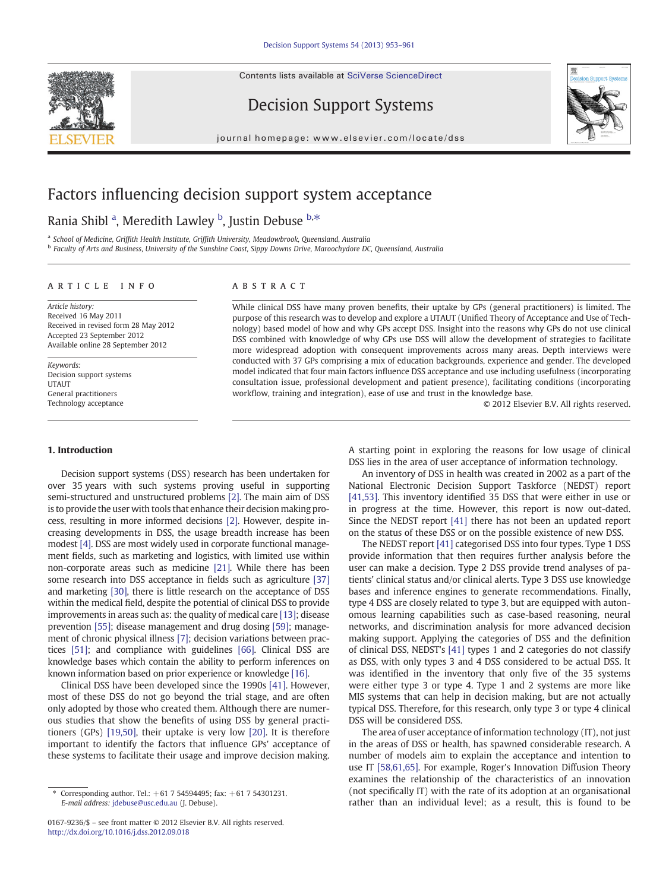Contents lists available at [SciVerse ScienceDirect](http://www.sciencedirect.com/science/journal/01679236)



Decision Support Systems



journal homepage: www.elsevier.com/locate/dss

# Factors influencing decision support system acceptance

## Rania Shibl <sup>a</sup>, Meredith Lawley <sup>b</sup>, Justin Debuse <sup>b,\*</sup>

<sup>a</sup> School of Medicine, Griffith Health Institute, Griffith University, Meadowbrook, Queensland, Australia

**b Faculty of Arts and Business, University of the Sunshine Coast, Sippy Downs Drive, Maroochydore DC, Queensland, Australia** 

### article info abstract

Article history: Received 16 May 2011 Received in revised form 28 May 2012 Accepted 23 September 2012 Available online 28 September 2012

Keywords: Decision support systems **UTAUT** General practitioners Technology acceptance

#### 1. Introduction

Decision support systems (DSS) research has been undertaken for over 35 years with such systems proving useful in supporting semi-structured and unstructured problems [\[2\]](#page--1-0). The main aim of DSS is to provide the user with tools that enhance their decision making process, resulting in more informed decisions [\[2\].](#page--1-0) However, despite increasing developments in DSS, the usage breadth increase has been modest [\[4\]](#page--1-0). DSS are most widely used in corporate functional management fields, such as marketing and logistics, with limited use within non-corporate areas such as medicine [\[21\].](#page--1-0) While there has been some research into DSS acceptance in fields such as agriculture [\[37\]](#page--1-0) and marketing [\[30\],](#page--1-0) there is little research on the acceptance of DSS within the medical field, despite the potential of clinical DSS to provide improvements in areas such as: the quality of medical care [\[13\]](#page--1-0); disease prevention [\[55\]](#page--1-0); disease management and drug dosing [\[59\];](#page--1-0) management of chronic physical illness [\[7\];](#page--1-0) decision variations between practices [\[51\];](#page--1-0) and compliance with guidelines [\[66\]](#page--1-0). Clinical DSS are knowledge bases which contain the ability to perform inferences on known information based on prior experience or knowledge [\[16\].](#page--1-0)

Clinical DSS have been developed since the 1990s [\[41\]](#page--1-0). However, most of these DSS do not go beyond the trial stage, and are often only adopted by those who created them. Although there are numerous studies that show the benefits of using DSS by general practitioners (GPs) [\[19,50\]](#page--1-0), their uptake is very low [\[20\]](#page--1-0). It is therefore important to identify the factors that influence GPs' acceptance of these systems to facilitate their usage and improve decision making.

While clinical DSS have many proven benefits, their uptake by GPs (general practitioners) is limited. The purpose of this research was to develop and explore a UTAUT (Unified Theory of Acceptance and Use of Technology) based model of how and why GPs accept DSS. Insight into the reasons why GPs do not use clinical DSS combined with knowledge of why GPs use DSS will allow the development of strategies to facilitate more widespread adoption with consequent improvements across many areas. Depth interviews were conducted with 37 GPs comprising a mix of education backgrounds, experience and gender. The developed model indicated that four main factors influence DSS acceptance and use including usefulness (incorporating consultation issue, professional development and patient presence), facilitating conditions (incorporating workflow, training and integration), ease of use and trust in the knowledge base.

© 2012 Elsevier B.V. All rights reserved.

A starting point in exploring the reasons for low usage of clinical DSS lies in the area of user acceptance of information technology.

An inventory of DSS in health was created in 2002 as a part of the National Electronic Decision Support Taskforce (NEDST) report [\[41,53\]](#page--1-0). This inventory identified 35 DSS that were either in use or in progress at the time. However, this report is now out-dated. Since the NEDST report [\[41\]](#page--1-0) there has not been an updated report on the status of these DSS or on the possible existence of new DSS.

The NEDST report [\[41\]](#page--1-0) categorised DSS into four types. Type 1 DSS provide information that then requires further analysis before the user can make a decision. Type 2 DSS provide trend analyses of patients' clinical status and/or clinical alerts. Type 3 DSS use knowledge bases and inference engines to generate recommendations. Finally, type 4 DSS are closely related to type 3, but are equipped with autonomous learning capabilities such as case-based reasoning, neural networks, and discrimination analysis for more advanced decision making support. Applying the categories of DSS and the definition of clinical DSS, NEDST's [\[41\]](#page--1-0) types 1 and 2 categories do not classify as DSS, with only types 3 and 4 DSS considered to be actual DSS. It was identified in the inventory that only five of the 35 systems were either type 3 or type 4. Type 1 and 2 systems are more like MIS systems that can help in decision making, but are not actually typical DSS. Therefore, for this research, only type 3 or type 4 clinical DSS will be considered DSS.

The area of user acceptance of information technology (IT), not just in the areas of DSS or health, has spawned considerable research. A number of models aim to explain the acceptance and intention to use IT [\[58,61,65\]](#page--1-0). For example, Roger's Innovation Diffusion Theory examines the relationship of the characteristics of an innovation (not specifically IT) with the rate of its adoption at an organisational rather than an individual level; as a result, this is found to be

<sup>⁎</sup> Corresponding author. Tel.: +61 7 54594495; fax: +61 7 54301231. E-mail address: [jdebuse@usc.edu.au](mailto:jdebuse@usc.edu.au) (J. Debuse).

<sup>0167-9236/\$</sup> – see front matter © 2012 Elsevier B.V. All rights reserved. <http://dx.doi.org/10.1016/j.dss.2012.09.018>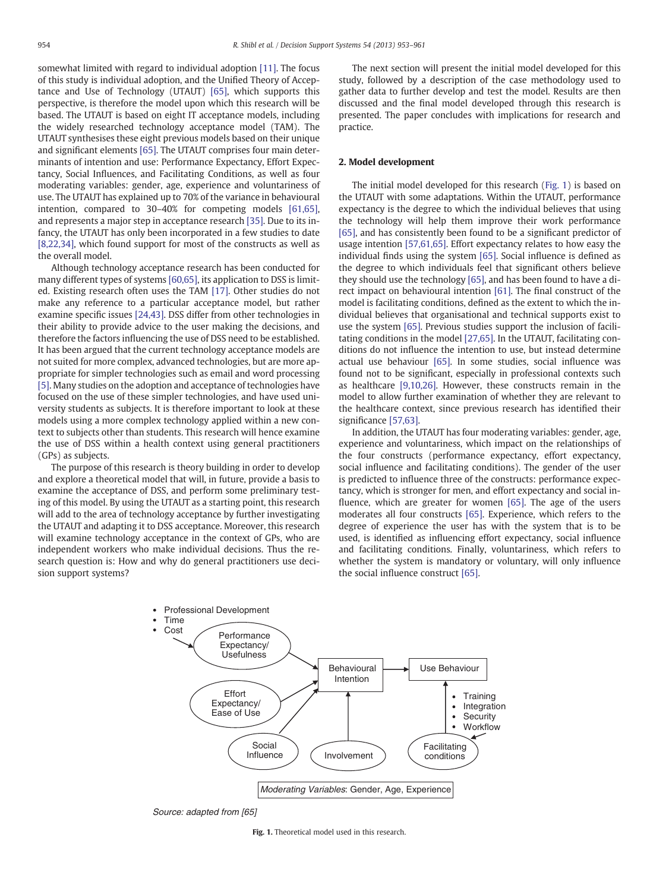somewhat limited with regard to individual adoption [\[11\].](#page--1-0) The focus of this study is individual adoption, and the Unified Theory of Acceptance and Use of Technology (UTAUT) [\[65\]](#page--1-0), which supports this perspective, is therefore the model upon which this research will be based. The UTAUT is based on eight IT acceptance models, including the widely researched technology acceptance model (TAM). The UTAUT synthesises these eight previous models based on their unique and significant elements [\[65\]](#page--1-0). The UTAUT comprises four main determinants of intention and use: Performance Expectancy, Effort Expectancy, Social Influences, and Facilitating Conditions, as well as four moderating variables: gender, age, experience and voluntariness of use. The UTAUT has explained up to 70% of the variance in behavioural intention, compared to 30–40% for competing models [\[61,65\],](#page--1-0) and represents a major step in acceptance research [\[35\]](#page--1-0). Due to its infancy, the UTAUT has only been incorporated in a few studies to date [\[8,22,34\],](#page--1-0) which found support for most of the constructs as well as the overall model.

Although technology acceptance research has been conducted for many different types of systems [\[60,65\],](#page--1-0) its application to DSS is limited. Existing research often uses the TAM [\[17\]](#page--1-0). Other studies do not make any reference to a particular acceptance model, but rather examine specific issues [\[24,43\].](#page--1-0) DSS differ from other technologies in their ability to provide advice to the user making the decisions, and therefore the factors influencing the use of DSS need to be established. It has been argued that the current technology acceptance models are not suited for more complex, advanced technologies, but are more appropriate for simpler technologies such as email and word processing [\[5\].](#page--1-0) Many studies on the adoption and acceptance of technologies have focused on the use of these simpler technologies, and have used university students as subjects. It is therefore important to look at these models using a more complex technology applied within a new context to subjects other than students. This research will hence examine the use of DSS within a health context using general practitioners (GPs) as subjects.

The purpose of this research is theory building in order to develop and explore a theoretical model that will, in future, provide a basis to examine the acceptance of DSS, and perform some preliminary testing of this model. By using the UTAUT as a starting point, this research will add to the area of technology acceptance by further investigating the UTAUT and adapting it to DSS acceptance. Moreover, this research will examine technology acceptance in the context of GPs, who are independent workers who make individual decisions. Thus the research question is: How and why do general practitioners use decision support systems?

The next section will present the initial model developed for this study, followed by a description of the case methodology used to gather data to further develop and test the model. Results are then discussed and the final model developed through this research is presented. The paper concludes with implications for research and practice.

#### 2. Model development

The initial model developed for this research (Fig. 1) is based on the UTAUT with some adaptations. Within the UTAUT, performance expectancy is the degree to which the individual believes that using the technology will help them improve their work performance [\[65\]](#page--1-0), and has consistently been found to be a significant predictor of usage intention [\[57,61,65\]](#page--1-0). Effort expectancy relates to how easy the individual finds using the system [\[65\].](#page--1-0) Social influence is defined as the degree to which individuals feel that significant others believe they should use the technology [\[65\]](#page--1-0), and has been found to have a direct impact on behavioural intention [\[61\].](#page--1-0) The final construct of the model is facilitating conditions, defined as the extent to which the individual believes that organisational and technical supports exist to use the system [\[65\]](#page--1-0). Previous studies support the inclusion of facilitating conditions in the model [\[27,65\]](#page--1-0). In the UTAUT, facilitating conditions do not influence the intention to use, but instead determine actual use behaviour [\[65\].](#page--1-0) In some studies, social influence was found not to be significant, especially in professional contexts such as healthcare [\[9,10,26\]](#page--1-0). However, these constructs remain in the model to allow further examination of whether they are relevant to the healthcare context, since previous research has identified their significance [\[57,63\]](#page--1-0).

In addition, the UTAUT has four moderating variables: gender, age, experience and voluntariness, which impact on the relationships of the four constructs (performance expectancy, effort expectancy, social influence and facilitating conditions). The gender of the user is predicted to influence three of the constructs: performance expectancy, which is stronger for men, and effort expectancy and social influence, which are greater for women [\[65\].](#page--1-0) The age of the users moderates all four constructs [\[65\].](#page--1-0) Experience, which refers to the degree of experience the user has with the system that is to be used, is identified as influencing effort expectancy, social influence and facilitating conditions. Finally, voluntariness, which refers to whether the system is mandatory or voluntary, will only influence the social influence construct [\[65\].](#page--1-0)



*Source: adapted from [65]*

Fig. 1. Theoretical model used in this research.